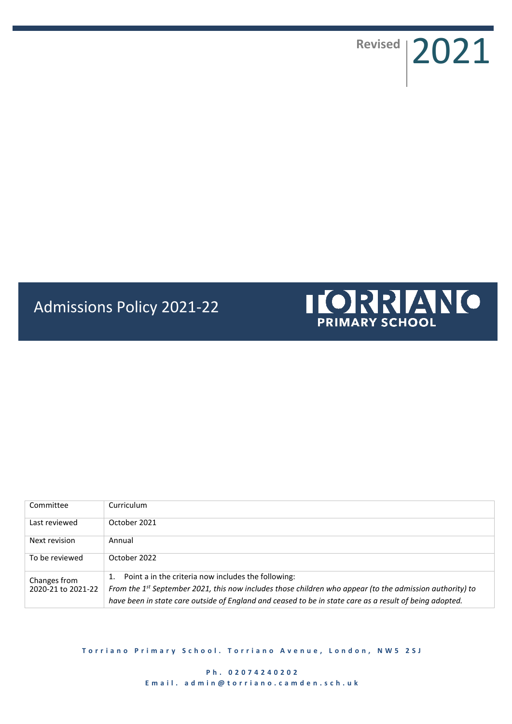Revised 2021

# Admissions Policy 2021-22



| Committee                          | Curriculum                                                                                               |
|------------------------------------|----------------------------------------------------------------------------------------------------------|
| Last reviewed                      | October 2021                                                                                             |
| Next revision                      | Annual                                                                                                   |
| To be reviewed                     | October 2022                                                                                             |
| Changes from<br>2020-21 to 2021-22 | Point a in the criteria now includes the following:<br>1.                                                |
|                                    | From the 1st September 2021, this now includes those children who appear (to the admission authority) to |
|                                    | have been in state care outside of England and ceased to be in state care as a result of being adopted.  |

**Torriano Primary School. Torriano Avenue, London, NW5 2SJ**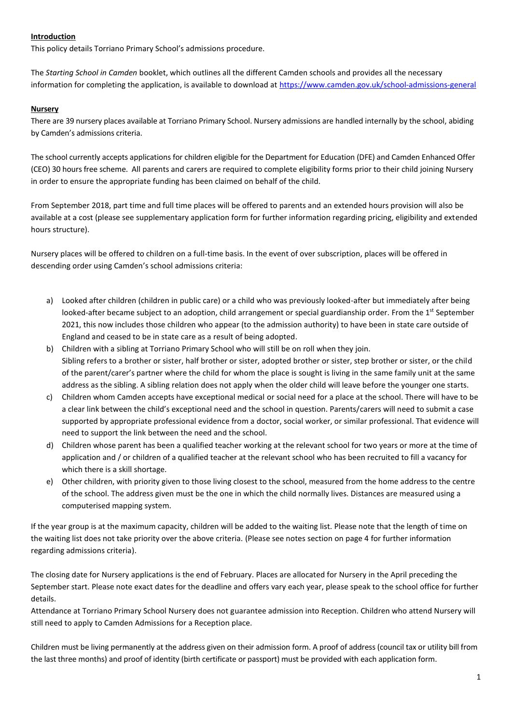## **Introduction**

This policy details Torriano Primary School's admissions procedure.

The *Starting School in Camden* booklet, which outlines all the different Camden schools and provides all the necessary information for completing the application, is available to download at<https://www.camden.gov.uk/school-admissions-general>

#### **Nursery**

There are 39 nursery places available at Torriano Primary School. Nursery admissions are handled internally by the school, abiding by Camden's admissions criteria.

The school currently accepts applications for children eligible for the Department for Education (DFE) and Camden Enhanced Offer (CEO) 30 hours free scheme. All parents and carers are required to complete eligibility forms prior to their child joining Nursery in order to ensure the appropriate funding has been claimed on behalf of the child.

From September 2018, part time and full time places will be offered to parents and an extended hours provision will also be available at a cost (please see supplementary application form for further information regarding pricing, eligibility and extended hours structure).

Nursery places will be offered to children on a full-time basis. In the event of over subscription, places will be offered in descending order using Camden's school admissions criteria:

- a) Looked after children (children in public care) or a child who was previously looked-after but immediately after being looked-after became subject to an adoption, child arrangement or special guardianship order. From the 1<sup>st</sup> September 2021, this now includes those children who appear (to the admission authority) to have been in state care outside of England and ceased to be in state care as a result of being adopted.
- b) Children with a sibling at Torriano Primary School who will still be on roll when they join. Sibling refers to a brother or sister, half brother or sister, adopted brother or sister, step brother or sister, or the child of the parent/carer's partner where the child for whom the place is sought is living in the same family unit at the same address as the sibling. A sibling relation does not apply when the older child will leave before the younger one starts.
- c) Children whom Camden accepts have exceptional medical or social need for a place at the school. There will have to be a clear link between the child's exceptional need and the school in question. Parents/carers will need to submit a case supported by appropriate professional evidence from a doctor, social worker, or similar professional. That evidence will need to support the link between the need and the school.
- d) Children whose parent has been a qualified teacher working at the relevant school for two years or more at the time of application and / or children of a qualified teacher at the relevant school who has been recruited to fill a vacancy for which there is a skill shortage.
- e) Other children, with priority given to those living closest to the school, measured from the home address to the centre of the school. The address given must be the one in which the child normally lives. Distances are measured using a computerised mapping system.

If the year group is at the maximum capacity, children will be added to the waiting list. Please note that the length of time on the waiting list does not take priority over the above criteria. (Please see notes section on page 4 for further information regarding admissions criteria).

The closing date for Nursery applications is the end of February. Places are allocated for Nursery in the April preceding the September start. Please note exact dates for the deadline and offers vary each year, please speak to the school office for further details.

Attendance at Torriano Primary School Nursery does not guarantee admission into Reception. Children who attend Nursery will still need to apply to Camden Admissions for a Reception place.

Children must be living permanently at the address given on their admission form. A proof of address (council tax or utility bill from the last three months) and proof of identity (birth certificate or passport) must be provided with each application form.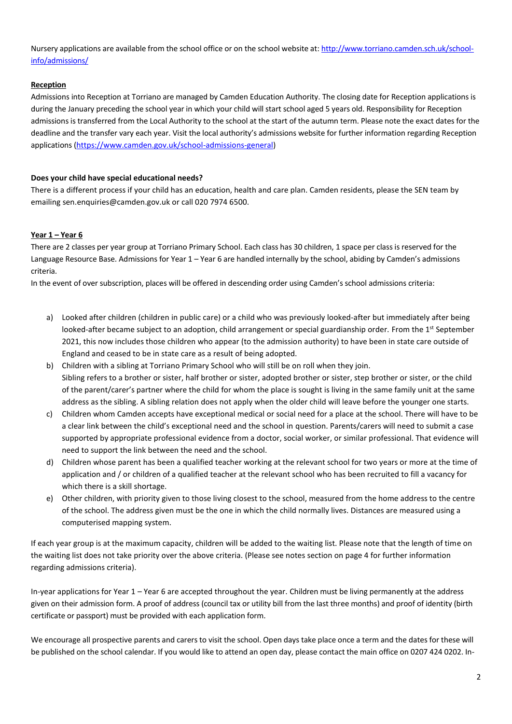Nursery applications are available from the school office or on the school website at: [http://www.torriano.camden.sch.uk/school](http://www.torriano.camden.sch.uk/school-info/admissions/)[info/admissions/](http://www.torriano.camden.sch.uk/school-info/admissions/)

## **Reception**

Admissions into Reception at Torriano are managed by Camden Education Authority. The closing date for Reception applications is during the January preceding the school year in which your child will start school aged 5 years old. Responsibility for Reception admissions is transferred from the Local Authority to the school at the start of the autumn term. Please note the exact dates for the deadline and the transfer vary each year. Visit the local authority's admissions website for further information regarding Reception applications [\(https://www.camden.gov.uk/school-admissions-general\)](https://www.camden.gov.uk/school-admissions-general)

## **Does your child have special educational needs?**

There is a different process if your child has an education, health and care plan. Camden residents, please the SEN team by emailing sen.enquiries@camden.gov.uk or call 020 7974 6500.

#### **Year 1 – Year 6**

There are 2 classes per year group at Torriano Primary School. Each class has 30 children, 1 space per class is reserved for the Language Resource Base. Admissions for Year 1 – Year 6 are handled internally by the school, abiding by Camden's admissions criteria.

In the event of over subscription, places will be offered in descending order using Camden's school admissions criteria:

- a) Looked after children (children in public care) or a child who was previously looked-after but immediately after being looked-after became subject to an adoption, child arrangement or special guardianship order. From the 1<sup>st</sup> September 2021, this now includes those children who appear (to the admission authority) to have been in state care outside of England and ceased to be in state care as a result of being adopted.
- b) Children with a sibling at Torriano Primary School who will still be on roll when they join. Sibling refers to a brother or sister, half brother or sister, adopted brother or sister, step brother or sister, or the child of the parent/carer's partner where the child for whom the place is sought is living in the same family unit at the same address as the sibling. A sibling relation does not apply when the older child will leave before the younger one starts.
- c) Children whom Camden accepts have exceptional medical or social need for a place at the school. There will have to be a clear link between the child's exceptional need and the school in question. Parents/carers will need to submit a case supported by appropriate professional evidence from a doctor, social worker, or similar professional. That evidence will need to support the link between the need and the school.
- d) Children whose parent has been a qualified teacher working at the relevant school for two years or more at the time of application and / or children of a qualified teacher at the relevant school who has been recruited to fill a vacancy for which there is a skill shortage.
- e) Other children, with priority given to those living closest to the school, measured from the home address to the centre of the school. The address given must be the one in which the child normally lives. Distances are measured using a computerised mapping system.

If each year group is at the maximum capacity, children will be added to the waiting list. Please note that the length of time on the waiting list does not take priority over the above criteria. (Please see notes section on page 4 for further information regarding admissions criteria).

In-year applications for Year 1 – Year 6 are accepted throughout the year. Children must be living permanently at the address given on their admission form. A proof of address (council tax or utility bill from the last three months) and proof of identity (birth certificate or passport) must be provided with each application form.

We encourage all prospective parents and carers to visit the school. Open days take place once a term and the dates for these will be published on the school calendar. If you would like to attend an open day, please contact the main office on 0207 424 0202. In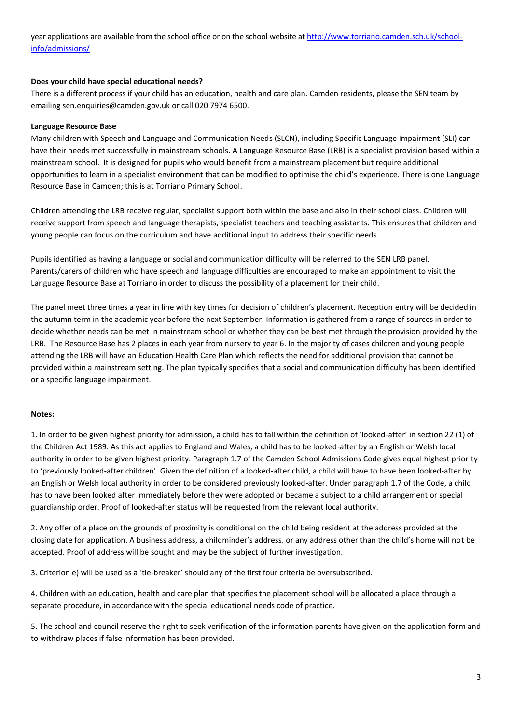year applications are available from the school office or on the school website at [http://www.torriano.camden.sch.uk/school](http://www.torriano.camden.sch.uk/school-info/admissions/)[info/admissions/](http://www.torriano.camden.sch.uk/school-info/admissions/)

#### **Does your child have special educational needs?**

There is a different process if your child has an education, health and care plan. Camden residents, please the SEN team by emailing sen.enquiries@camden.gov.uk or call 020 7974 6500.

## **Language Resource Base**

Many children with Speech and Language and Communication Needs (SLCN), including Specific Language Impairment (SLI) can have their needs met successfully in mainstream schools. A Language Resource Base (LRB) is a specialist provision based within a mainstream school. It is designed for pupils who would benefit from a mainstream placement but require additional opportunities to learn in a specialist environment that can be modified to optimise the child's experience. There is one Language Resource Base in Camden; this is at Torriano Primary School.

Children attending the LRB receive regular, specialist support both within the base and also in their school class. Children will receive support from speech and language therapists, specialist teachers and teaching assistants. This ensures that children and young people can focus on the curriculum and have additional input to address their specific needs.

Pupils identified as having a language or social and communication difficulty will be referred to the SEN LRB panel. Parents/carers of children who have speech and language difficulties are encouraged to make an appointment to visit the Language Resource Base at Torriano in order to discuss the possibility of a placement for their child.

The panel meet three times a year in line with key times for decision of children's placement. Reception entry will be decided in the autumn term in the academic year before the next September. Information is gathered from a range of sources in order to decide whether needs can be met in mainstream school or whether they can be best met through the provision provided by the LRB. The Resource Base has 2 places in each year from nursery to year 6. In the majority of cases children and young people attending the LRB will have an Education Health Care Plan which reflects the need for additional provision that cannot be provided within a mainstream setting. The plan typically specifies that a social and communication difficulty has been identified or a specific language impairment.

#### **Notes:**

1. In order to be given highest priority for admission, a child has to fall within the definition of 'looked-after' in section 22 (1) of the Children Act 1989. As this act applies to England and Wales, a child has to be looked-after by an English or Welsh local authority in order to be given highest priority. Paragraph 1.7 of the Camden School Admissions Code gives equal highest priority to 'previously looked-after children'. Given the definition of a looked-after child, a child will have to have been looked-after by an English or Welsh local authority in order to be considered previously looked-after. Under paragraph 1.7 of the Code, a child has to have been looked after immediately before they were adopted or became a subject to a child arrangement or special guardianship order. Proof of looked-after status will be requested from the relevant local authority.

2. Any offer of a place on the grounds of proximity is conditional on the child being resident at the address provided at the closing date for application. A business address, a childminder's address, or any address other than the child's home will not be accepted. Proof of address will be sought and may be the subject of further investigation.

3. Criterion e) will be used as a 'tie-breaker' should any of the first four criteria be oversubscribed.

4. Children with an education, health and care plan that specifies the placement school will be allocated a place through a separate procedure, in accordance with the special educational needs code of practice.

5. The school and council reserve the right to seek verification of the information parents have given on the application form and to withdraw places if false information has been provided.